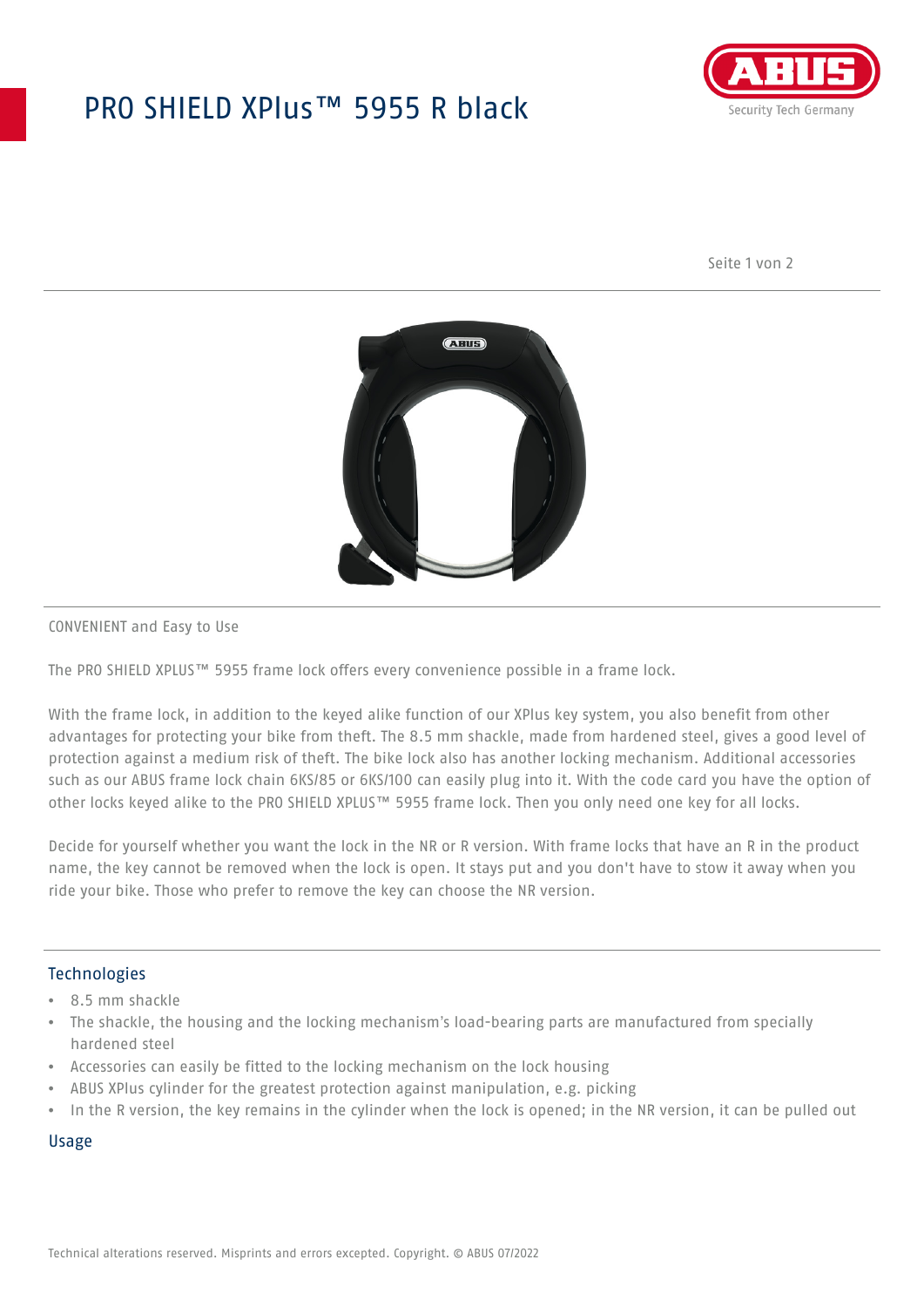# PRO SHIELD XPlus™ 5955 R black



Seite 1 von 2



#### CONVENIENT and Easy to Use

The PRO SHIELD XPLUS™ 5955 frame lock offers every convenience possible in a frame lock.

With the frame lock, in addition to the keyed alike function of our XPlus key system, you also benefit from other advantages for protecting your bike from theft. The 8.5 mm shackle, made from hardened steel, gives a good level of protection against a medium risk of theft. The bike lock also has another locking mechanism. Additional accessories such as our ABUS frame lock chain 6KS/85 or 6KS/100 can easily plug into it. With the code card you have the option of other locks keyed alike to the PRO SHIELD XPLUS™ 5955 frame lock. Then you only need one key for all locks.

Decide for yourself whether you want the lock in the NR or R version. With frame locks that have an R in the product name, the key cannot be removed when the lock is open. It stays put and you don't have to stow it away when you ride your bike. Those who prefer to remove the key can choose the NR version.

### **Technologies**

- 8.5 mm shackle
- The shackle, the housing and the locking mechanism's load-bearing parts are manufactured from specially hardened steel
- Accessories can easily be fitted to the locking mechanism on the lock housing
- ABUS XPlus cylinder for the greatest protection against manipulation, e.g. picking
- In the R version, the key remains in the cylinder when the lock is opened; in the NR version, it can be pulled out

#### Usage